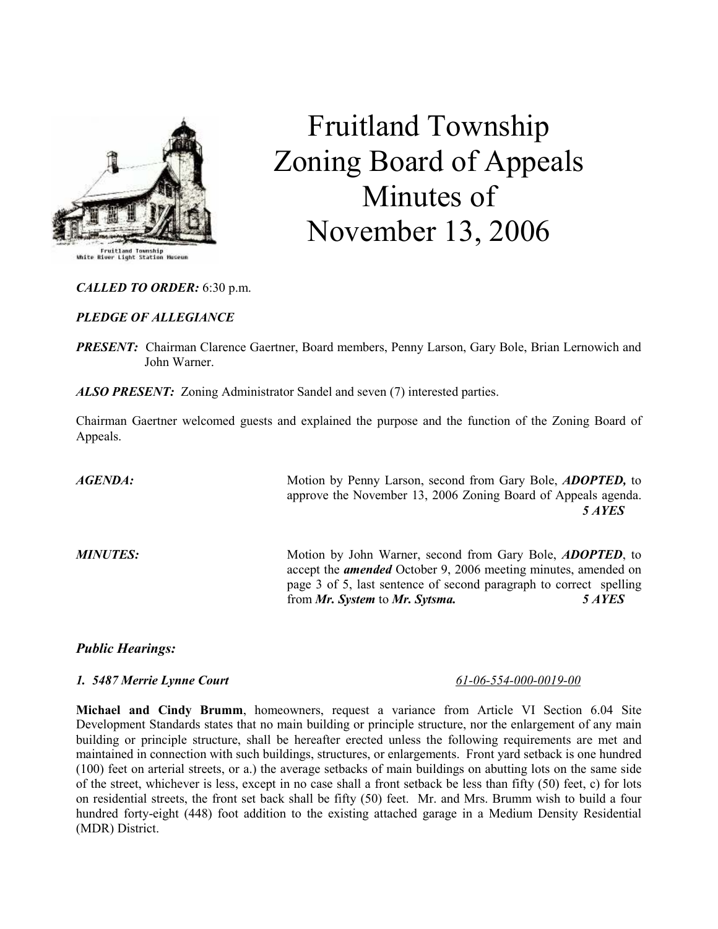

Fruitland Township<br>River Light Station

# Fruitland Township Zoning Board of Appeals Minutes of November 13, 2006

#### CALLED TO ORDER: 6:30 p.m.

#### PLEDGE OF ALLEGIANCE

**PRESENT:** Chairman Clarence Gaertner, Board members, Penny Larson, Gary Bole, Brian Lernowich and John Warner.

ALSO PRESENT: Zoning Administrator Sandel and seven (7) interested parties.

Chairman Gaertner welcomed guests and explained the purpose and the function of the Zoning Board of Appeals.

AGENDA: Motion by Penny Larson, second from Gary Bole, ADOPTED, to approve the November 13, 2006 Zoning Board of Appeals agenda. 5 AYES

MINUTES: Motion by John Warner, second from Gary Bole, ADOPTED, to accept the *amended* October 9, 2006 meeting minutes, amended on page 3 of 5, last sentence of second paragraph to correct spelling from Mr. System to Mr. Sytsma. 5 AYES

## Public Hearings:

# 1. 5487 Merrie Lynne Court 61-06-554-000-0019-00

Michael and Cindy Brumm, homeowners, request a variance from Article VI Section 6.04 Site Development Standards states that no main building or principle structure, nor the enlargement of any main building or principle structure, shall be hereafter erected unless the following requirements are met and maintained in connection with such buildings, structures, or enlargements. Front yard setback is one hundred (100) feet on arterial streets, or a.) the average setbacks of main buildings on abutting lots on the same side of the street, whichever is less, except in no case shall a front setback be less than fifty (50) feet, c) for lots on residential streets, the front set back shall be fifty (50) feet. Mr. and Mrs. Brumm wish to build a four hundred forty-eight (448) foot addition to the existing attached garage in a Medium Density Residential (MDR) District.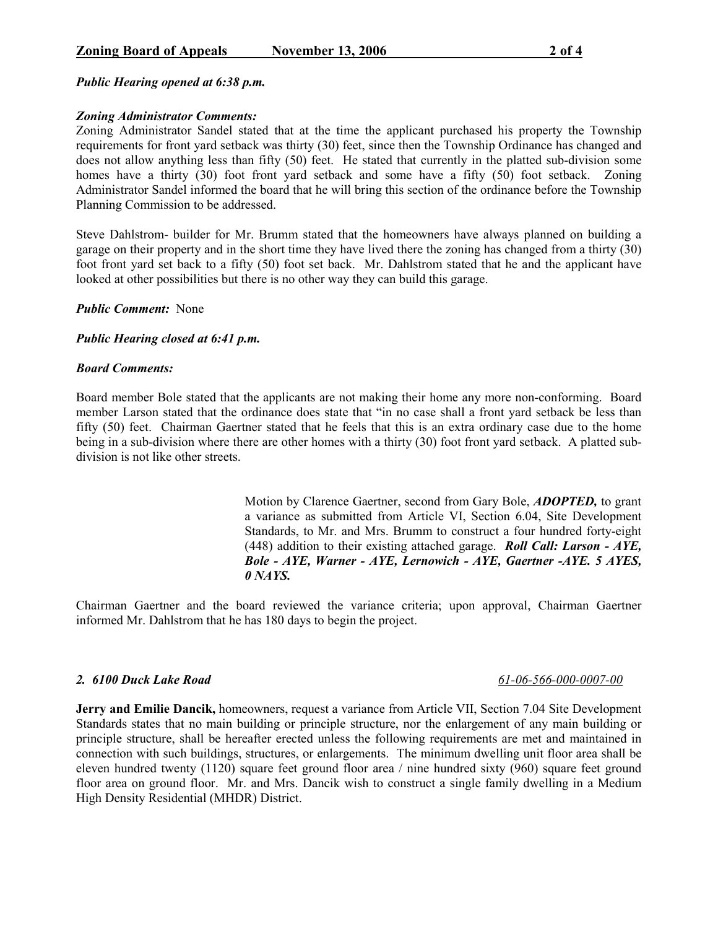### Public Hearing opened at 6:38 p.m.

#### Zoning Administrator Comments:

Zoning Administrator Sandel stated that at the time the applicant purchased his property the Township requirements for front yard setback was thirty (30) feet, since then the Township Ordinance has changed and does not allow anything less than fifty (50) feet. He stated that currently in the platted sub-division some homes have a thirty (30) foot front yard setback and some have a fifty (50) foot setback. Zoning Administrator Sandel informed the board that he will bring this section of the ordinance before the Township Planning Commission to be addressed.

Steve Dahlstrom- builder for Mr. Brumm stated that the homeowners have always planned on building a garage on their property and in the short time they have lived there the zoning has changed from a thirty (30) foot front yard set back to a fifty (50) foot set back. Mr. Dahlstrom stated that he and the applicant have looked at other possibilities but there is no other way they can build this garage.

Public Comment: None

Public Hearing closed at 6:41 p.m.

#### Board Comments:

Board member Bole stated that the applicants are not making their home any more non-conforming. Board member Larson stated that the ordinance does state that "in no case shall a front yard setback be less than fifty (50) feet. Chairman Gaertner stated that he feels that this is an extra ordinary case due to the home being in a sub-division where there are other homes with a thirty (30) foot front yard setback. A platted subdivision is not like other streets.

> Motion by Clarence Gaertner, second from Gary Bole, **ADOPTED**, to grant a variance as submitted from Article VI, Section 6.04, Site Development Standards, to Mr. and Mrs. Brumm to construct a four hundred forty-eight (448) addition to their existing attached garage. **Roll Call: Larson - AYE,** Bole - AYE, Warner - AYE, Lernowich - AYE, Gaertner -AYE. 5 AYES, 0 NAYS.

Chairman Gaertner and the board reviewed the variance criteria; upon approval, Chairman Gaertner informed Mr. Dahlstrom that he has 180 days to begin the project.

# 2. 6100 Duck Lake Road 61-06-566-000-0007-00

Jerry and Emilie Dancik, homeowners, request a variance from Article VII, Section 7.04 Site Development Standards states that no main building or principle structure, nor the enlargement of any main building or principle structure, shall be hereafter erected unless the following requirements are met and maintained in connection with such buildings, structures, or enlargements. The minimum dwelling unit floor area shall be eleven hundred twenty (1120) square feet ground floor area / nine hundred sixty (960) square feet ground floor area on ground floor. Mr. and Mrs. Dancik wish to construct a single family dwelling in a Medium High Density Residential (MHDR) District.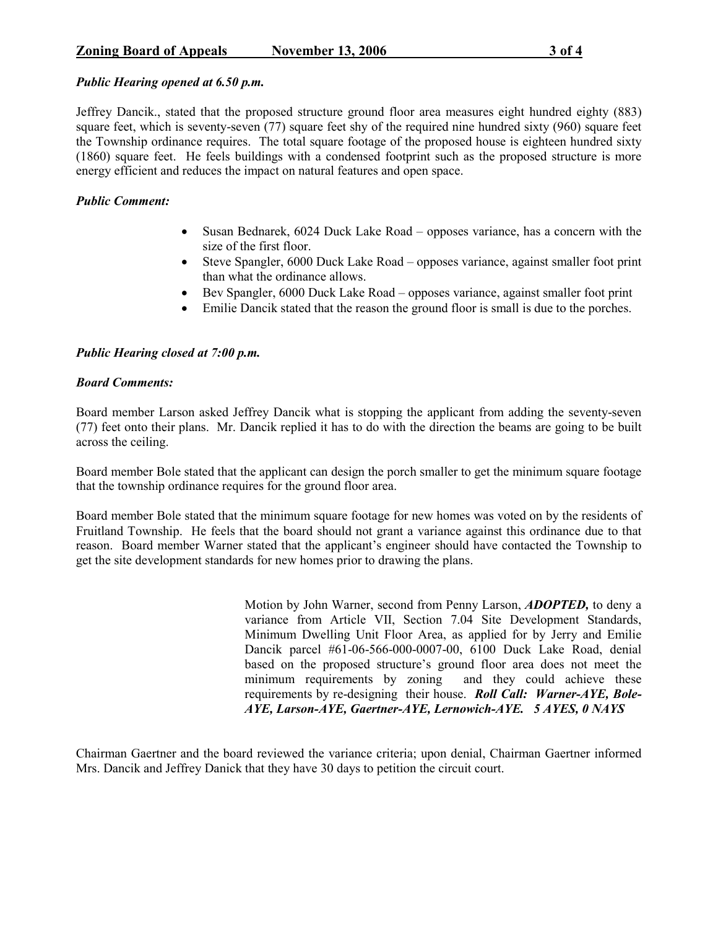Jeffrey Dancik., stated that the proposed structure ground floor area measures eight hundred eighty (883) square feet, which is seventy-seven (77) square feet shy of the required nine hundred sixty (960) square feet the Township ordinance requires. The total square footage of the proposed house is eighteen hundred sixty (1860) square feet. He feels buildings with a condensed footprint such as the proposed structure is more energy efficient and reduces the impact on natural features and open space.

# Public Comment:

- Susan Bednarek, 6024 Duck Lake Road opposes variance, has a concern with the size of the first floor.
- Steve Spangler, 6000 Duck Lake Road opposes variance, against smaller foot print than what the ordinance allows.
- Bev Spangler, 6000 Duck Lake Road opposes variance, against smaller foot print
- Emilie Dancik stated that the reason the ground floor is small is due to the porches.

# Public Hearing closed at 7:00 p.m.

## Board Comments:

Board member Larson asked Jeffrey Dancik what is stopping the applicant from adding the seventy-seven (77) feet onto their plans. Mr. Dancik replied it has to do with the direction the beams are going to be built across the ceiling.

Board member Bole stated that the applicant can design the porch smaller to get the minimum square footage that the township ordinance requires for the ground floor area.

Board member Bole stated that the minimum square footage for new homes was voted on by the residents of Fruitland Township. He feels that the board should not grant a variance against this ordinance due to that reason. Board member Warner stated that the applicant's engineer should have contacted the Township to get the site development standards for new homes prior to drawing the plans.

> Motion by John Warner, second from Penny Larson, ADOPTED, to deny a variance from Article VII, Section 7.04 Site Development Standards, Minimum Dwelling Unit Floor Area, as applied for by Jerry and Emilie Dancik parcel #61-06-566-000-0007-00, 6100 Duck Lake Road, denial based on the proposed structure's ground floor area does not meet the minimum requirements by zoning and they could achieve these requirements by re-designing their house. Roll Call: Warner-AYE, Bole-AYE, Larson-AYE, Gaertner-AYE, Lernowich-AYE. 5 AYES, 0 NAYS

Chairman Gaertner and the board reviewed the variance criteria; upon denial, Chairman Gaertner informed Mrs. Dancik and Jeffrey Danick that they have 30 days to petition the circuit court.